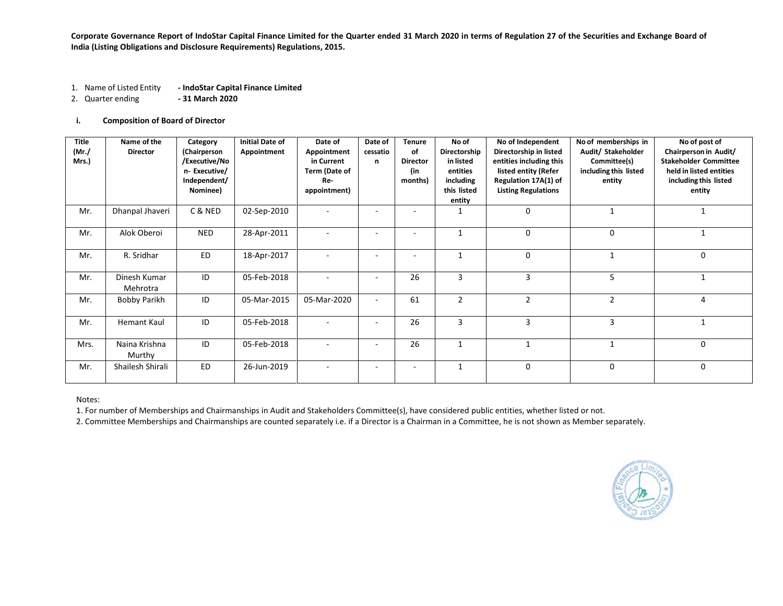**Corporate Governance Report of IndoStar Capital Finance Limited for the Quarter ended 31 March 2020 in terms of Regulation 27 of the Securities and Exchange Board of India (Listing Obligations and Disclosure Requirements) Regulations, 2015.**

- 1. Name of Listed Entity **- IndoStar Capital Finance Limited**
- 2. Quarter ending **- 31 March 2020**

## **i. Composition of Board of Director**

| <b>Title</b><br>(Mr./)<br>Mrs.) | Name of the<br><b>Director</b> | Category<br>(Chairperson<br>/Executive/No<br>n-Executive/<br>Independent/<br>Nominee) | <b>Initial Date of</b><br>Appointment | Date of<br>Appointment<br>in Current<br>Term (Date of<br>Re-<br>appointment) | Date of<br>cessatio<br>n | <b>Tenure</b><br>of<br><b>Director</b><br>(in<br>months) | No of<br>Directorship<br>in listed<br>entities<br>including<br>this listed<br>entity | No of Independent<br>Directorship in listed<br>entities including this<br>listed entity (Refer<br>Regulation 17A(1) of<br><b>Listing Regulations</b> | No of memberships in<br>Audit/ Stakeholder<br>Committee(s)<br>including this listed<br>entity | No of post of<br>Chairperson in Audit/<br><b>Stakeholder Committee</b><br>held in listed entities<br>including this listed<br>entity |
|---------------------------------|--------------------------------|---------------------------------------------------------------------------------------|---------------------------------------|------------------------------------------------------------------------------|--------------------------|----------------------------------------------------------|--------------------------------------------------------------------------------------|------------------------------------------------------------------------------------------------------------------------------------------------------|-----------------------------------------------------------------------------------------------|--------------------------------------------------------------------------------------------------------------------------------------|
| Mr.                             | Dhanpal Jhaveri                | C & NED                                                                               | 02-Sep-2010                           | $\overline{a}$                                                               |                          |                                                          |                                                                                      | $\mathbf 0$                                                                                                                                          | $\mathbf{1}$                                                                                  |                                                                                                                                      |
| Mr.                             | Alok Oberoi                    | <b>NED</b>                                                                            | 28-Apr-2011                           | $\sim$                                                                       | ٠                        | $\sim$                                                   | 1                                                                                    | 0                                                                                                                                                    | 0                                                                                             |                                                                                                                                      |
| Mr.                             | R. Sridhar                     | <b>ED</b>                                                                             | 18-Apr-2017                           | $\overline{\phantom{a}}$                                                     | ٠                        | ۰                                                        |                                                                                      | $\mathbf 0$                                                                                                                                          | 1                                                                                             | $\mathbf 0$                                                                                                                          |
| Mr.                             | Dinesh Kumar<br>Mehrotra       | ID                                                                                    | 05-Feb-2018                           |                                                                              |                          | 26                                                       | 3                                                                                    | 3                                                                                                                                                    | 5                                                                                             |                                                                                                                                      |
| Mr.                             | Bobby Parikh                   | ID                                                                                    | 05-Mar-2015                           | 05-Mar-2020                                                                  |                          | 61                                                       | $\overline{2}$                                                                       | 2                                                                                                                                                    | $\overline{2}$                                                                                | 4                                                                                                                                    |
| Mr.                             | <b>Hemant Kaul</b>             | ID                                                                                    | 05-Feb-2018                           | $\sim$                                                                       | $\overline{\phantom{a}}$ | 26                                                       | 3                                                                                    | 3                                                                                                                                                    | 3                                                                                             | $\mathbf{1}$                                                                                                                         |
| Mrs.                            | Naina Krishna<br>Murthy        | ID                                                                                    | 05-Feb-2018                           |                                                                              |                          | 26                                                       | $\mathbf{1}$                                                                         | $\mathbf{1}$                                                                                                                                         | $\mathbf{1}$                                                                                  | 0                                                                                                                                    |
| Mr.                             | Shailesh Shirali               | <b>ED</b>                                                                             | 26-Jun-2019                           | $\overline{\phantom{a}}$                                                     |                          | ٠                                                        | 1                                                                                    | 0                                                                                                                                                    | $\mathbf 0$                                                                                   | 0                                                                                                                                    |

Notes:

1. For number of Memberships and Chairmanships in Audit and Stakeholders Committee(s), have considered public entities, whether listed or not.

2. Committee Memberships and Chairmanships are counted separately i.e. if a Director is a Chairman in a Committee, he is not shown as Member separately.

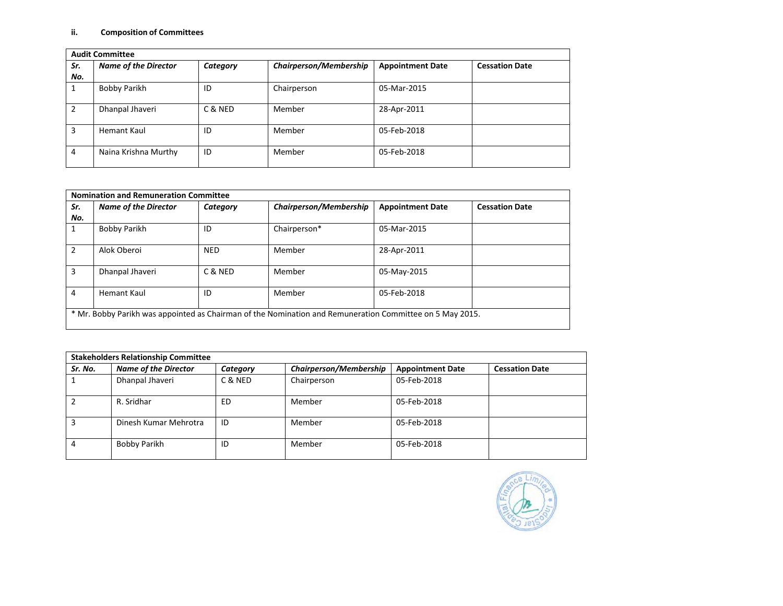## **ii. Composition of Committees**

|               | <b>Audit Committee</b>      |          |                        |                         |                       |  |  |
|---------------|-----------------------------|----------|------------------------|-------------------------|-----------------------|--|--|
| Sr.           | <b>Name of the Director</b> | Category | Chairperson/Membership | <b>Appointment Date</b> | <b>Cessation Date</b> |  |  |
| No.           |                             |          |                        |                         |                       |  |  |
|               | <b>Bobby Parikh</b>         | ID       | Chairperson            | 05-Mar-2015             |                       |  |  |
| $\mathcal{P}$ | Dhanpal Jhaveri             | C & NED  | Member                 | 28-Apr-2011             |                       |  |  |
| 3             | Hemant Kaul                 | ID       | Member                 | 05-Feb-2018             |                       |  |  |
| 4             | Naina Krishna Murthy        | ID       | Member                 | 05-Feb-2018             |                       |  |  |

| Sr.<br>No.     | <b>Name of the Director</b> | Category   | <b>Chairperson/Membership</b> | <b>Appointment Date</b> | <b>Cessation Date</b> |
|----------------|-----------------------------|------------|-------------------------------|-------------------------|-----------------------|
|                | Bobby Parikh                | ID         | Chairperson*                  | 05-Mar-2015             |                       |
| $\overline{2}$ | Alok Oberoi                 | <b>NED</b> | Member                        | 28-Apr-2011             |                       |
| 3              | Dhanpal Jhaveri             | C & NED    | Member                        | 05-May-2015             |                       |
| 4              | <b>Hemant Kaul</b>          | ID         | Member                        | 05-Feb-2018             |                       |

|         | <b>Stakeholders Relationship Committee</b> |          |                               |                         |                       |  |  |
|---------|--------------------------------------------|----------|-------------------------------|-------------------------|-----------------------|--|--|
| Sr. No. | <b>Name of the Director</b>                | Category | <b>Chairperson/Membership</b> | <b>Appointment Date</b> | <b>Cessation Date</b> |  |  |
|         | Dhanpal Jhaveri                            | C & NED  | Chairperson                   | 05-Feb-2018             |                       |  |  |
|         | R. Sridhar                                 | ED       | Member                        | 05-Feb-2018             |                       |  |  |
|         | Dinesh Kumar Mehrotra                      | ID       | Member                        | 05-Feb-2018             |                       |  |  |
|         | Bobby Parikh                               | ID       | Member                        | 05-Feb-2018             |                       |  |  |

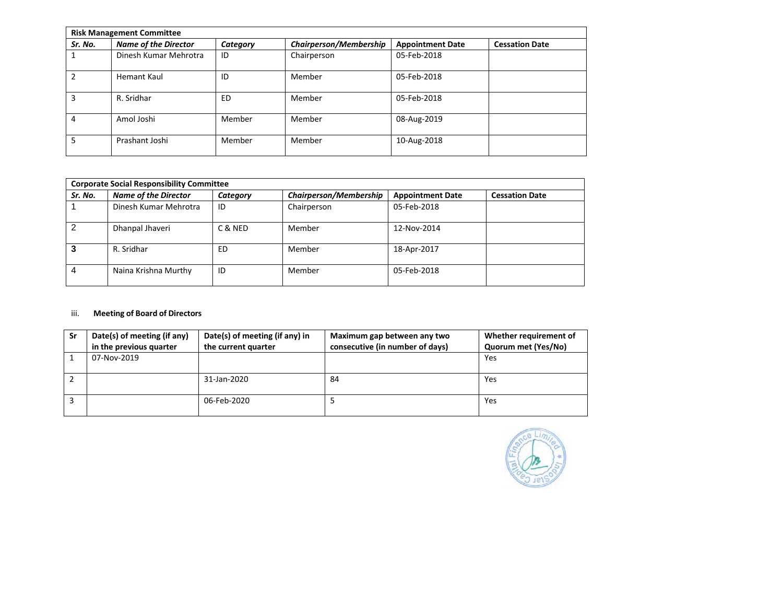|         | <b>Risk Management Committee</b> |          |                               |                         |                       |  |  |
|---------|----------------------------------|----------|-------------------------------|-------------------------|-----------------------|--|--|
| Sr. No. | <b>Name of the Director</b>      | Category | <b>Chairperson/Membership</b> | <b>Appointment Date</b> | <b>Cessation Date</b> |  |  |
| 1       | Dinesh Kumar Mehrotra            | ID       | Chairperson                   | 05-Feb-2018             |                       |  |  |
| 2       | Hemant Kaul                      | ID       | Member                        | 05-Feb-2018             |                       |  |  |
| 3       | R. Sridhar                       | ED       | Member                        | 05-Feb-2018             |                       |  |  |
| 4       | Amol Joshi                       | Member   | Member                        | 08-Aug-2019             |                       |  |  |
| 5       | Prashant Joshi                   | Member   | Member                        | 10-Aug-2018             |                       |  |  |

|         | <b>Corporate Social Responsibility Committee</b> |          |                               |                         |                       |  |
|---------|--------------------------------------------------|----------|-------------------------------|-------------------------|-----------------------|--|
| Sr. No. | <b>Name of the Director</b>                      | Category | <b>Chairperson/Membership</b> | <b>Appointment Date</b> | <b>Cessation Date</b> |  |
|         | Dinesh Kumar Mehrotra                            | ID       | Chairperson                   | 05-Feb-2018             |                       |  |
| 2       | Dhanpal Jhaveri                                  | C & NED  | Member                        | 12-Nov-2014             |                       |  |
| 3       | R. Sridhar                                       | ED       | Member                        | 18-Apr-2017             |                       |  |
| 4       | Naina Krishna Murthy                             | ID       | Member                        | 05-Feb-2018             |                       |  |

# iii. **Meeting of Board of Directors**

| Sr | Date(s) of meeting (if any)<br>in the previous quarter | Date(s) of meeting (if any) in<br>the current quarter | Maximum gap between any two<br>consecutive (in number of days) | Whether requirement of<br>Quorum met (Yes/No) |
|----|--------------------------------------------------------|-------------------------------------------------------|----------------------------------------------------------------|-----------------------------------------------|
|    | 07-Nov-2019                                            |                                                       |                                                                | Yes                                           |
|    |                                                        | 31-Jan-2020                                           | 84                                                             | Yes                                           |
|    |                                                        | 06-Feb-2020                                           |                                                                | Yes                                           |

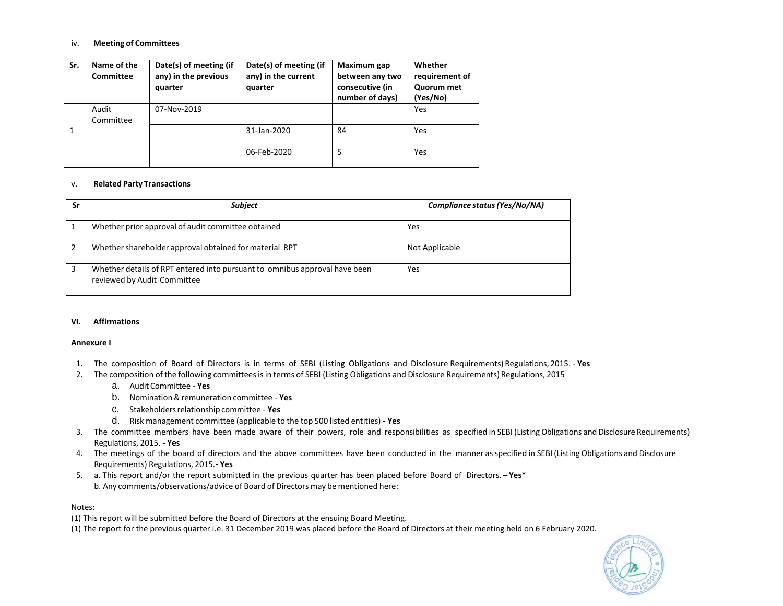## iv. **Meeting of Committees**

| Sr. | Name of the<br><b>Committee</b> | Date(s) of meeting (if<br>any) in the previous<br>quarter | Date(s) of meeting (if<br>any) in the current<br>quarter | Maximum gap<br>between any two<br>consecutive (in<br>number of days) | Whether<br>requirement of<br>Quorum met<br>(Yes/No) |
|-----|---------------------------------|-----------------------------------------------------------|----------------------------------------------------------|----------------------------------------------------------------------|-----------------------------------------------------|
|     | Audit<br>Committee              | 07-Nov-2019                                               |                                                          |                                                                      | Yes                                                 |
|     |                                 |                                                           | 31-Jan-2020                                              | 84                                                                   | Yes                                                 |
|     |                                 |                                                           | 06-Feb-2020                                              | 5                                                                    | Yes                                                 |

## v. **Related Party Transactions**

| Sr | <b>Subject</b>                                                                                            | Compliance status (Yes/No/NA) |
|----|-----------------------------------------------------------------------------------------------------------|-------------------------------|
|    | Whether prior approval of audit committee obtained                                                        | Yes                           |
|    | Whether shareholder approval obtained for material RPT                                                    | Not Applicable                |
| 3  | Whether details of RPT entered into pursuant to omnibus approval have been<br>reviewed by Audit Committee | Yes                           |

#### **VI. Affirmations**

#### **Annexure I**

- 1. The composition of Board of Directors is in terms of SEBI (Listing Obligations and Disclosure Requirements) Regulations, 2015. **Yes**
- 2. The composition of the following committeesisin terms of SEBI (Listing Obligations and Disclosure Requirements) Regulations, 2015
	- a. AuditCommittee **Yes**
	- b. Nomination&remuneration committee **Yes**
	- c. Stakeholdersrelationshipcommittee **Yes**
	- d. Risk management committee (applicable to the top 500 listed entities) **- Yes**
- 3. The committee members have been made aware of their powers, role and responsibilities as specified in SEBI (Listing Obligations and Disclosure Requirements) Regulations, 2015. **- Yes**
- 4. The meetings of the board of directors and the above committees have been conducted in the manner asspecified in SEBI (Listing Obligations and Disclosure Requirements) Regulations, 2015.**- Yes**
- 5. a. This report and/or the report submitted in the previous quarter has been placed before Board of Directors. **– Yes\*** b. Any comments/observations/advice of Board of Directors may be mentioned here:

## Notes:

- (1) This report will be submitted before the Board of Directors at the ensuing Board Meeting.
- (1) The report for the previous quarter i.e. 31 December 2019 was placed before the Board of Directors at their meeting held on 6 February 2020.

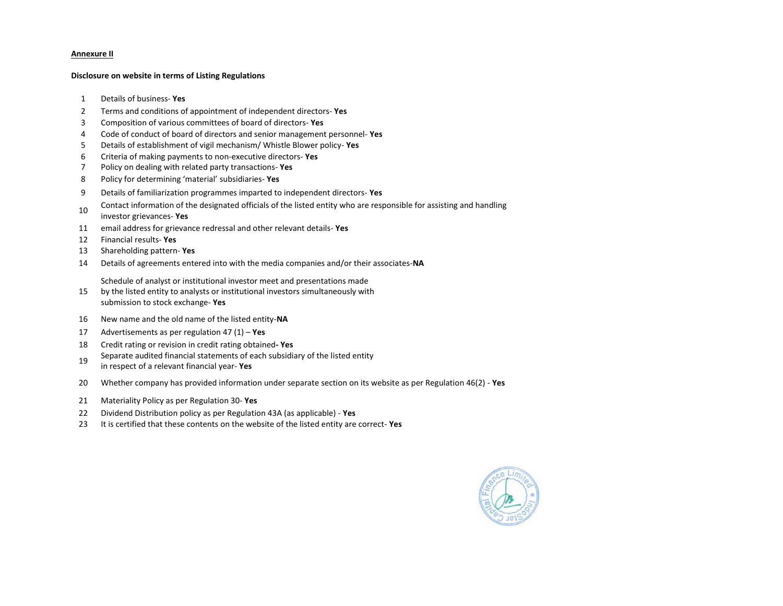### **Annexure II**

#### **Disclosure on website in terms of Listing Regulations**

- Details of business- **Yes**
- Terms and conditions of appointment of independent directors- **Yes**
- Composition of various committees of board of directors- **Yes**
- Code of conduct of board of directors and senior management personnel- **Yes**
- Details of establishment of vigil mechanism/ Whistle Blower policy- **Yes**
- Criteria of making payments to non-executive directors- **Yes**
- Policy on dealing with related party transactions- **Yes**
- Policy for determining 'material' subsidiaries- **Yes**
- Details of familiarization programmes imparted to independent directors- **Yes**
- Contact information of the designated officials of the listed entity who are responsible for assisting and handling investor grievances- **Yes**
- email address for grievance redressal and other relevant details- **Yes**
- Financial results- **Yes**
- Shareholding pattern- **Yes**
- Details of agreements entered into with the media companies and/or their associates-**NA**

Schedule of analyst or institutional investor meet and presentations made

- by the listed entity to analysts or institutional investors simultaneously with submission to stock exchange- **Yes**
- New name and the old name of the listed entity-**NA**
- Advertisements as per regulation 47 (1) **Yes**
- Credit rating or revision in credit rating obtained**- Yes**
- Separate audited financial statements of each subsidiary of the listed entity in respect of a relevant financial year- **Yes**
- Whether company has provided information under separate section on its website as per Regulation 46(2) **Yes**
- Materiality Policy as per Regulation 30- **Yes**
- Dividend Distribution policy as per Regulation 43A (as applicable) **Yes**
- It is certified that these contents on the website of the listed entity are correct- **Yes**

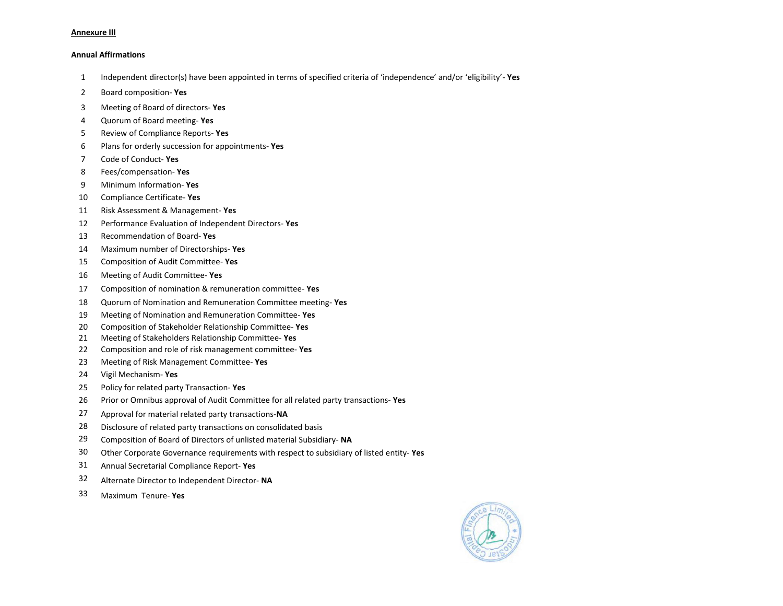#### **Annexure III**

#### **Annual Affirmations**

- Independent director(s) have been appointed in terms of specified criteria of 'independence' and/or 'eligibility'- **Yes**
- Board composition- **Yes**
- Meeting of Board of directors- **Yes**
- Quorum of Board meeting- **Yes**
- Review of Compliance Reports- **Yes**
- Plans for orderly succession for appointments- **Yes**
- Code of Conduct- **Yes**
- Fees/compensation- **Yes**
- Minimum Information- **Yes**
- Compliance Certificate- **Yes**
- Risk Assessment & Management- **Yes**
- Performance Evaluation of Independent Directors- **Yes**
- Recommendation of Board- **Yes**
- Maximum number of Directorships- **Yes**
- Composition of Audit Committee- **Yes**
- Meeting of Audit Committee- **Yes**
- Composition of nomination & remuneration committee- **Yes**
- Quorum of Nomination and Remuneration Committee meeting- **Yes**
- Meeting of Nomination and Remuneration Committee- **Yes**
- Composition of Stakeholder Relationship Committee- **Yes**
- Meeting of Stakeholders Relationship Committee- **Yes**
- Composition and role of risk management committee- **Yes**
- Meeting of Risk Management Committee- **Yes**
- Vigil Mechanism- **Yes**
- Policy for related party Transaction- **Yes**
- Prior or Omnibus approval of Audit Committee for all related party transactions- **Yes**
- Approval for material related party transactions-**NA**
- Disclosure of related party transactions on consolidated basis
- Composition of Board of Directors of unlisted material Subsidiary- **NA**
- Other Corporate Governance requirements with respect to subsidiary of listed entity- **Yes**
- Annual Secretarial Compliance Report- **Yes**
- Alternate Director to Independent Director- **NA**
- Maximum Tenure- **Yes**